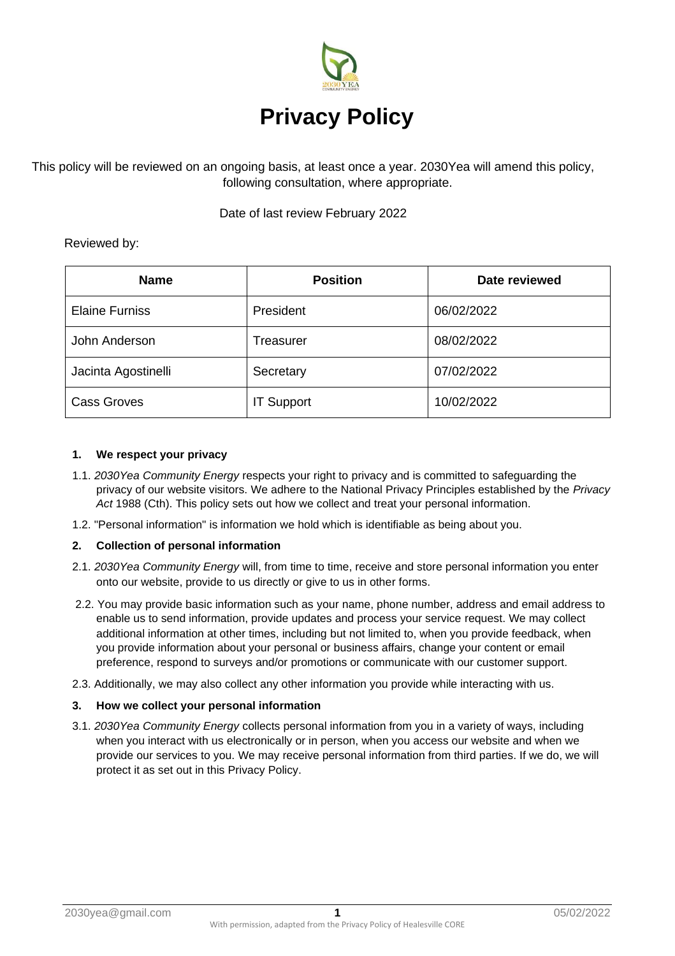

This policy will be reviewed on an ongoing basis, at least once a year. 2030Yea will amend this policy, following consultation, where appropriate.

Date of last review February 2022

# Reviewed by:

| <b>Name</b>           | <b>Position</b>   | Date reviewed |
|-----------------------|-------------------|---------------|
| <b>Elaine Furniss</b> | President         | 06/02/2022    |
| John Anderson         | Treasurer         | 08/02/2022    |
| Jacinta Agostinelli   | Secretary         | 07/02/2022    |
| <b>Cass Groves</b>    | <b>IT Support</b> | 10/02/2022    |

# **1. We respect your privacy**

- 1.1. *2030Yea Community Energy* respects your right to privacy and is committed to safeguarding the privacy of our website visitors. We adhere to the National Privacy Principles established by the *Privacy Act* 1988 (Cth). This policy sets out how we collect and treat your personal information.
- 1.2. "Personal information" is information we hold which is identifiable as being about you.

# **2. Collection of personal information**

- 2.1. *2030Yea Community Energy* will, from time to time, receive and store personal information you enter onto our website, provide to us directly or give to us in other forms.
- 2.2. You may provide basic information such as your name, phone number, address and email address to enable us to send information, provide updates and process your service request. We may collect additional information at other times, including but not limited to, when you provide feedback, when you provide information about your personal or business affairs, change your content or email preference, respond to surveys and/or promotions or communicate with our customer support.
- 2.3. Additionally, we may also collect any other information you provide while interacting with us.

# **3. How we collect your personal information**

3.1. *2030Yea Community Energy* collects personal information from you in a variety of ways, including when you interact with us electronically or in person, when you access our website and when we provide our services to you. We may receive personal information from third parties. If we do, we will protect it as set out in this Privacy Policy.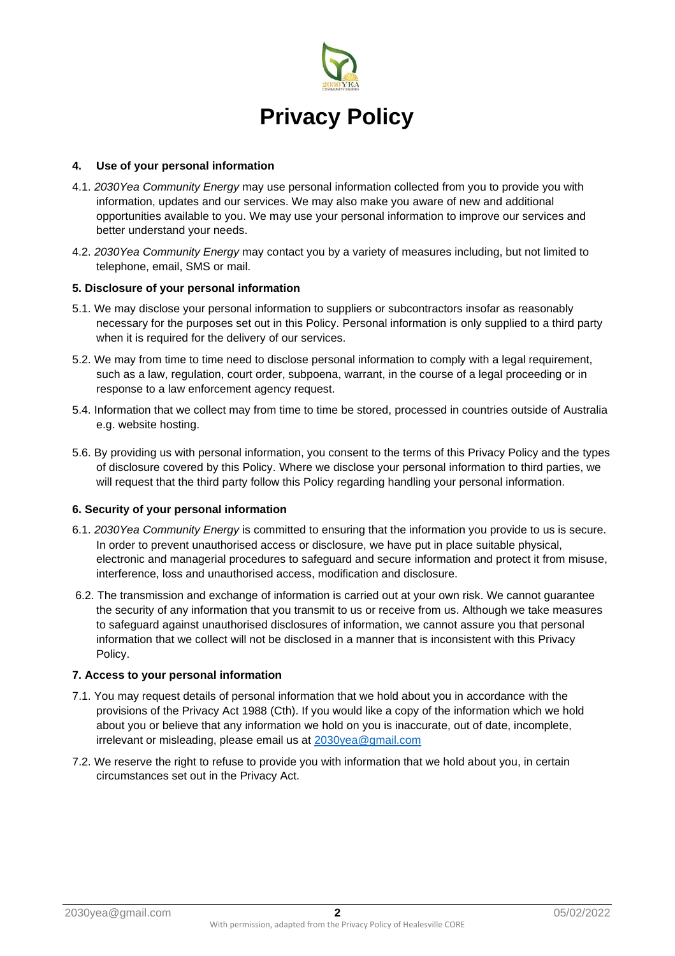

### **4. Use of your personal information**

- 4.1. *2030Yea Community Energy* may use personal information collected from you to provide you with information, updates and our services. We may also make you aware of new and additional opportunities available to you. We may use your personal information to improve our services and better understand your needs.
- 4.2. *2030Yea Community Energy* may contact you by a variety of measures including, but not limited to telephone, email, SMS or mail.

#### **5. Disclosure of your personal information**

- 5.1. We may disclose your personal information to suppliers or subcontractors insofar as reasonably necessary for the purposes set out in this Policy. Personal information is only supplied to a third party when it is required for the delivery of our services.
- 5.2. We may from time to time need to disclose personal information to comply with a legal requirement, such as a law, regulation, court order, subpoena, warrant, in the course of a legal proceeding or in response to a law enforcement agency request.
- 5.4. Information that we collect may from time to time be stored, processed in countries outside of Australia e.g. website hosting.
- 5.6. By providing us with personal information, you consent to the terms of this Privacy Policy and the types of disclosure covered by this Policy. Where we disclose your personal information to third parties, we will request that the third party follow this Policy regarding handling your personal information.

### **6. Security of your personal information**

- 6.1. *2030Yea Community Energy* is committed to ensuring that the information you provide to us is secure. In order to prevent unauthorised access or disclosure, we have put in place suitable physical, electronic and managerial procedures to safeguard and secure information and protect it from misuse, interference, loss and unauthorised access, modification and disclosure.
- 6.2. The transmission and exchange of information is carried out at your own risk. We cannot guarantee the security of any information that you transmit to us or receive from us. Although we take measures to safeguard against unauthorised disclosures of information, we cannot assure you that personal information that we collect will not be disclosed in a manner that is inconsistent with this Privacy Policy.

#### **7. Access to your personal information**

- 7.1. You may request details of personal information that we hold about you in accordance with the provisions of the Privacy Act 1988 (Cth). If you would like a copy of the information which we hold about you or believe that any information we hold on you is inaccurate, out of date, incomplete, irrelevant or misleading, please email us at [2030yea@gmail.com](mailto:2030yea@gmail.com)
- 7.2. We reserve the right to refuse to provide you with information that we hold about you, in certain circumstances set out in the Privacy Act.